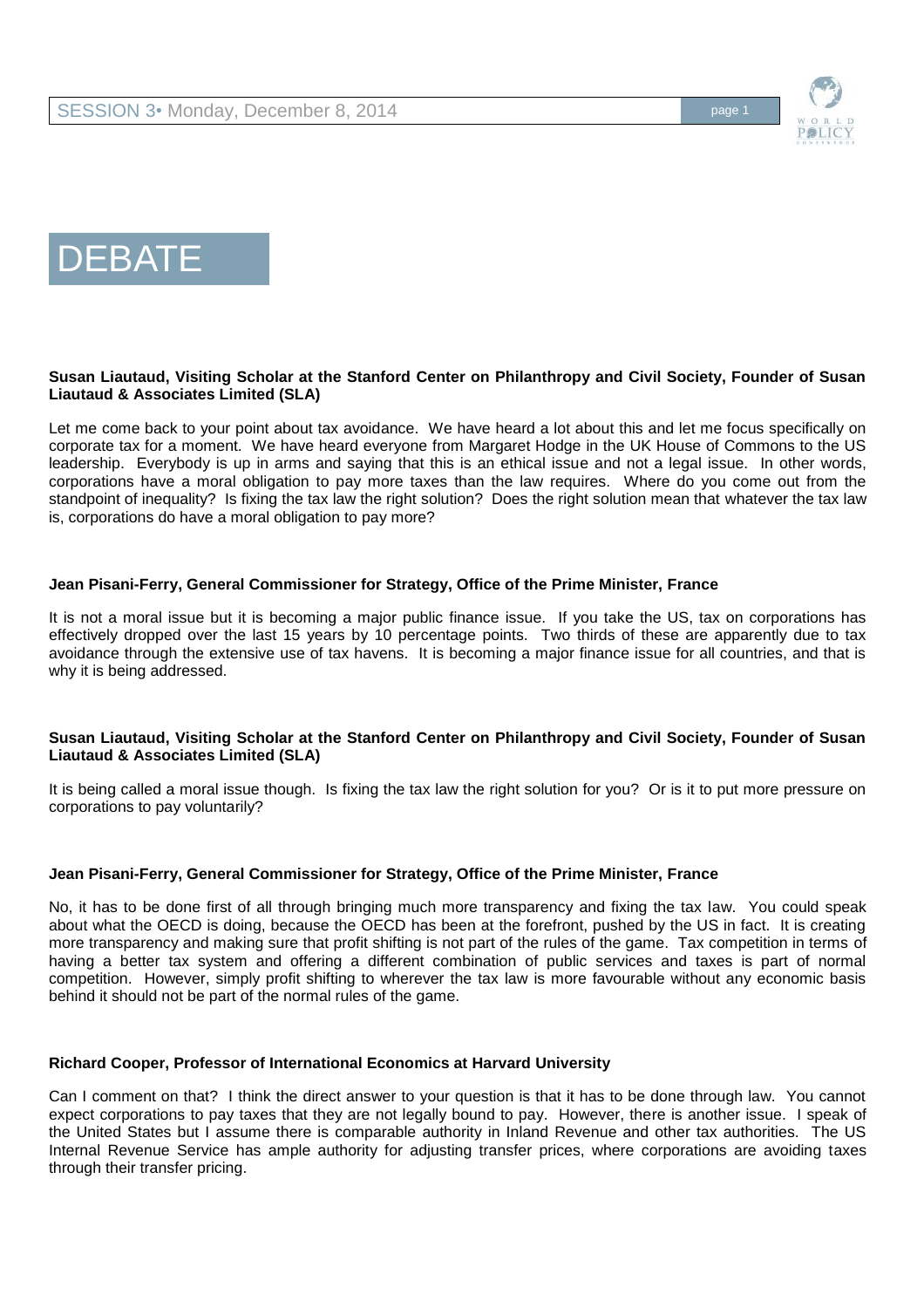





# **Susan Liautaud, Visiting Scholar at the Stanford Center on Philanthropy and Civil Society, Founder of Susan Liautaud & Associates Limited (SLA)**

Let me come back to your point about tax avoidance. We have heard a lot about this and let me focus specifically on corporate tax for a moment. We have heard everyone from Margaret Hodge in the UK House of Commons to the US leadership. Everybody is up in arms and saying that this is an ethical issue and not a legal issue. In other words, corporations have a moral obligation to pay more taxes than the law requires. Where do you come out from the standpoint of inequality? Is fixing the tax law the right solution? Does the right solution mean that whatever the tax law is, corporations do have a moral obligation to pay more?

## **Jean Pisani-Ferry, General Commissioner for Strategy, Office of the Prime Minister, France**

It is not a moral issue but it is becoming a major public finance issue. If you take the US, tax on corporations has effectively dropped over the last 15 years by 10 percentage points. Two thirds of these are apparently due to tax avoidance through the extensive use of tax havens. It is becoming a major finance issue for all countries, and that is why it is being addressed.

### **Susan Liautaud, Visiting Scholar at the Stanford Center on Philanthropy and Civil Society, Founder of Susan Liautaud & Associates Limited (SLA)**

It is being called a moral issue though. Is fixing the tax law the right solution for you? Or is it to put more pressure on corporations to pay voluntarily?

## **Jean Pisani-Ferry, General Commissioner for Strategy, Office of the Prime Minister, France**

No, it has to be done first of all through bringing much more transparency and fixing the tax law. You could speak about what the OECD is doing, because the OECD has been at the forefront, pushed by the US in fact. It is creating more transparency and making sure that profit shifting is not part of the rules of the game. Tax competition in terms of having a better tax system and offering a different combination of public services and taxes is part of normal competition. However, simply profit shifting to wherever the tax law is more favourable without any economic basis behind it should not be part of the normal rules of the game.

### **Richard Cooper, Professor of International Economics at Harvard University**

Can I comment on that? I think the direct answer to your question is that it has to be done through law. You cannot expect corporations to pay taxes that they are not legally bound to pay. However, there is another issue. I speak of the United States but I assume there is comparable authority in Inland Revenue and other tax authorities. The US Internal Revenue Service has ample authority for adjusting transfer prices, where corporations are avoiding taxes through their transfer pricing.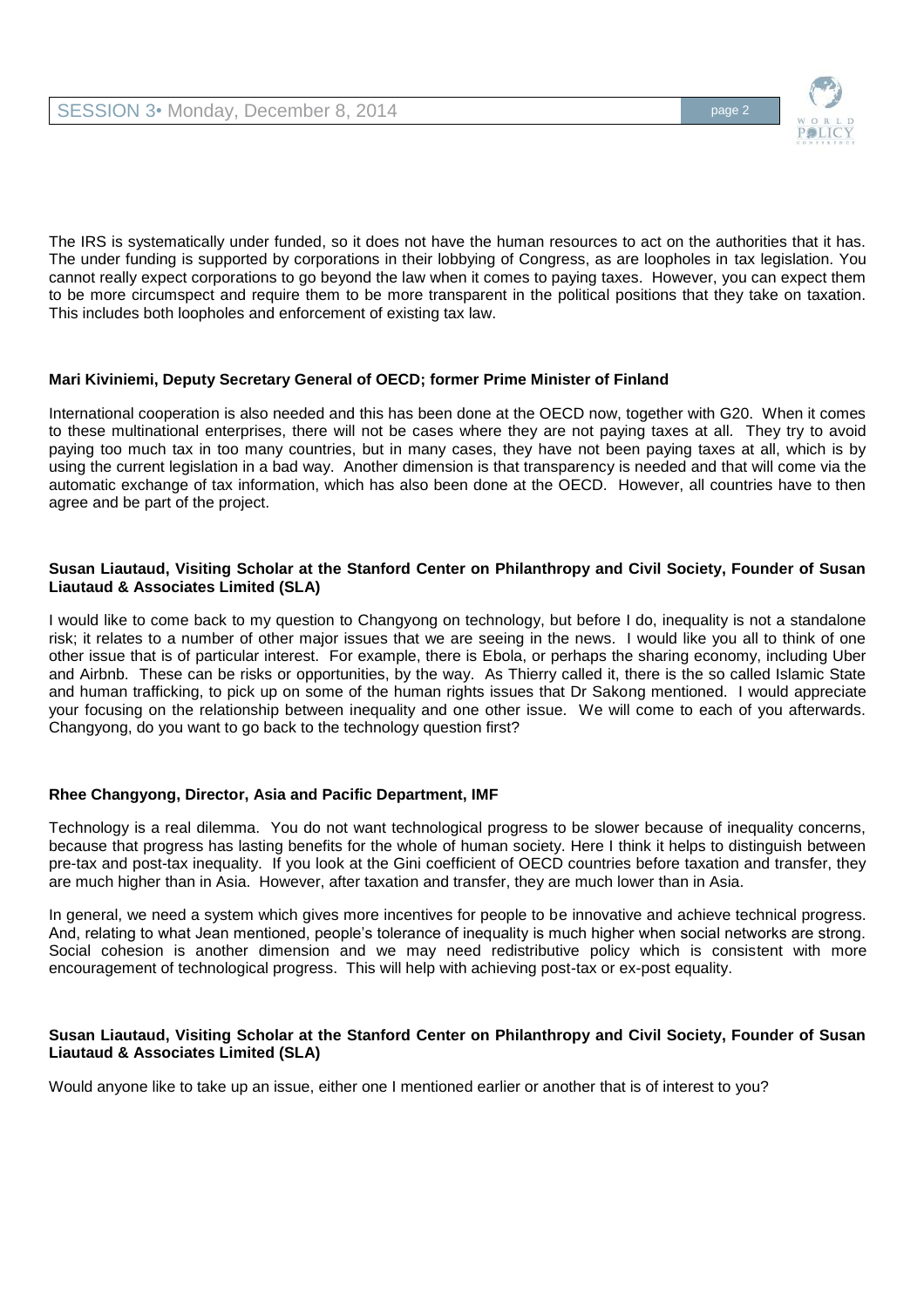

The IRS is systematically under funded, so it does not have the human resources to act on the authorities that it has. The under funding is supported by corporations in their lobbying of Congress, as are loopholes in tax legislation. You cannot really expect corporations to go beyond the law when it comes to paying taxes. However, you can expect them to be more circumspect and require them to be more transparent in the political positions that they take on taxation. This includes both loopholes and enforcement of existing tax law.

# **Mari Kiviniemi, Deputy Secretary General of OECD; former Prime Minister of Finland**

International cooperation is also needed and this has been done at the OECD now, together with G20. When it comes to these multinational enterprises, there will not be cases where they are not paying taxes at all. They try to avoid paying too much tax in too many countries, but in many cases, they have not been paying taxes at all, which is by using the current legislation in a bad way. Another dimension is that transparency is needed and that will come via the automatic exchange of tax information, which has also been done at the OECD. However, all countries have to then agree and be part of the project.

## **Susan Liautaud, Visiting Scholar at the Stanford Center on Philanthropy and Civil Society, Founder of Susan Liautaud & Associates Limited (SLA)**

I would like to come back to my question to Changyong on technology, but before I do, inequality is not a standalone risk; it relates to a number of other major issues that we are seeing in the news. I would like you all to think of one other issue that is of particular interest. For example, there is Ebola, or perhaps the sharing economy, including Uber and Airbnb. These can be risks or opportunities, by the way. As Thierry called it, there is the so called Islamic State and human trafficking, to pick up on some of the human rights issues that Dr Sakong mentioned. I would appreciate your focusing on the relationship between inequality and one other issue. We will come to each of you afterwards. Changyong, do you want to go back to the technology question first?

# **Rhee Changyong, Director, Asia and Pacific Department, IMF**

Technology is a real dilemma. You do not want technological progress to be slower because of inequality concerns, because that progress has lasting benefits for the whole of human society. Here I think it helps to distinguish between pre-tax and post-tax inequality. If you look at the Gini coefficient of OECD countries before taxation and transfer, they are much higher than in Asia. However, after taxation and transfer, they are much lower than in Asia.

In general, we need a system which gives more incentives for people to be innovative and achieve technical progress. And, relating to what Jean mentioned, people's tolerance of inequality is much higher when social networks are strong. Social cohesion is another dimension and we may need redistributive policy which is consistent with more encouragement of technological progress. This will help with achieving post-tax or ex-post equality.

### **Susan Liautaud, Visiting Scholar at the Stanford Center on Philanthropy and Civil Society, Founder of Susan Liautaud & Associates Limited (SLA)**

Would anyone like to take up an issue, either one I mentioned earlier or another that is of interest to you?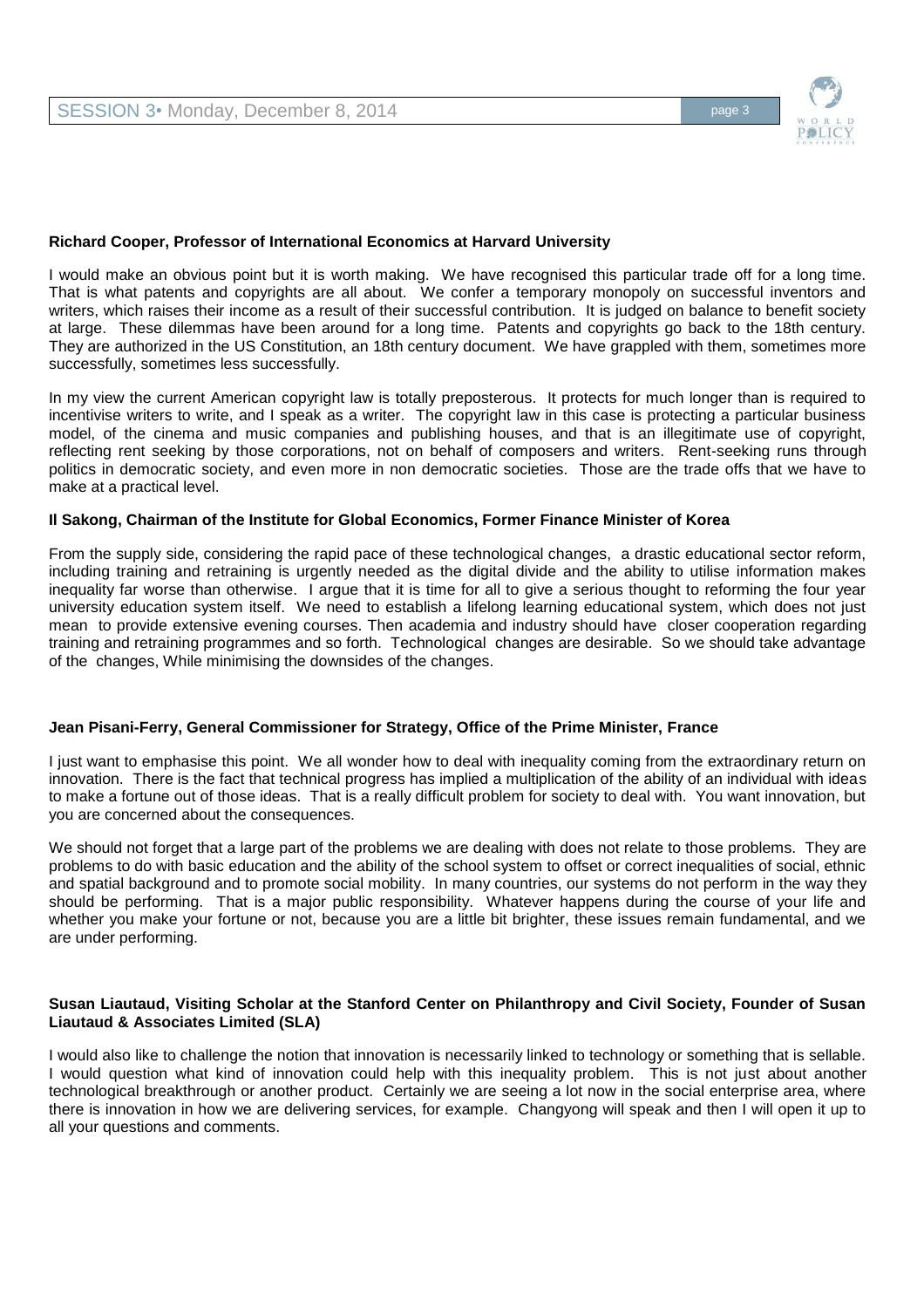

### **Richard Cooper, Professor of International Economics at Harvard University**

I would make an obvious point but it is worth making. We have recognised this particular trade off for a long time. That is what patents and copyrights are all about. We confer a temporary monopoly on successful inventors and writers, which raises their income as a result of their successful contribution. It is judged on balance to benefit society at large. These dilemmas have been around for a long time. Patents and copyrights go back to the 18th century. They are authorized in the US Constitution, an 18th century document. We have grappled with them, sometimes more successfully, sometimes less successfully.

In my view the current American copyright law is totally preposterous. It protects for much longer than is required to incentivise writers to write, and I speak as a writer. The copyright law in this case is protecting a particular business model, of the cinema and music companies and publishing houses, and that is an illegitimate use of copyright, reflecting rent seeking by those corporations, not on behalf of composers and writers. Rent-seeking runs through politics in democratic society, and even more in non democratic societies. Those are the trade offs that we have to make at a practical level.

### **Il Sakong, Chairman of the Institute for Global Economics, Former Finance Minister of Korea**

From the supply side, considering the rapid pace of these technological changes, a drastic educational sector reform, including training and retraining is urgently needed as the digital divide and the ability to utilise information makes inequality far worse than otherwise. I argue that it is time for all to give a serious thought to reforming the four year university education system itself. We need to establish a lifelong learning educational system, which does not just mean to provide extensive evening courses. Then academia and industry should have closer cooperation regarding training and retraining programmes and so forth. Technological changes are desirable. So we should take advantage of the changes, While minimising the downsides of the changes.

### **Jean Pisani-Ferry, General Commissioner for Strategy, Office of the Prime Minister, France**

I just want to emphasise this point. We all wonder how to deal with inequality coming from the extraordinary return on innovation. There is the fact that technical progress has implied a multiplication of the ability of an individual with ideas to make a fortune out of those ideas. That is a really difficult problem for society to deal with. You want innovation, but you are concerned about the consequences.

We should not forget that a large part of the problems we are dealing with does not relate to those problems. They are problems to do with basic education and the ability of the school system to offset or correct inequalities of social, ethnic and spatial background and to promote social mobility. In many countries, our systems do not perform in the way they should be performing. That is a major public responsibility. Whatever happens during the course of your life and whether you make your fortune or not, because you are a little bit brighter, these issues remain fundamental, and we are under performing.

#### **Susan Liautaud, Visiting Scholar at the Stanford Center on Philanthropy and Civil Society, Founder of Susan Liautaud & Associates Limited (SLA)**

I would also like to challenge the notion that innovation is necessarily linked to technology or something that is sellable. I would question what kind of innovation could help with this inequality problem. This is not just about another technological breakthrough or another product. Certainly we are seeing a lot now in the social enterprise area, where there is innovation in how we are delivering services, for example. Changyong will speak and then I will open it up to all your questions and comments.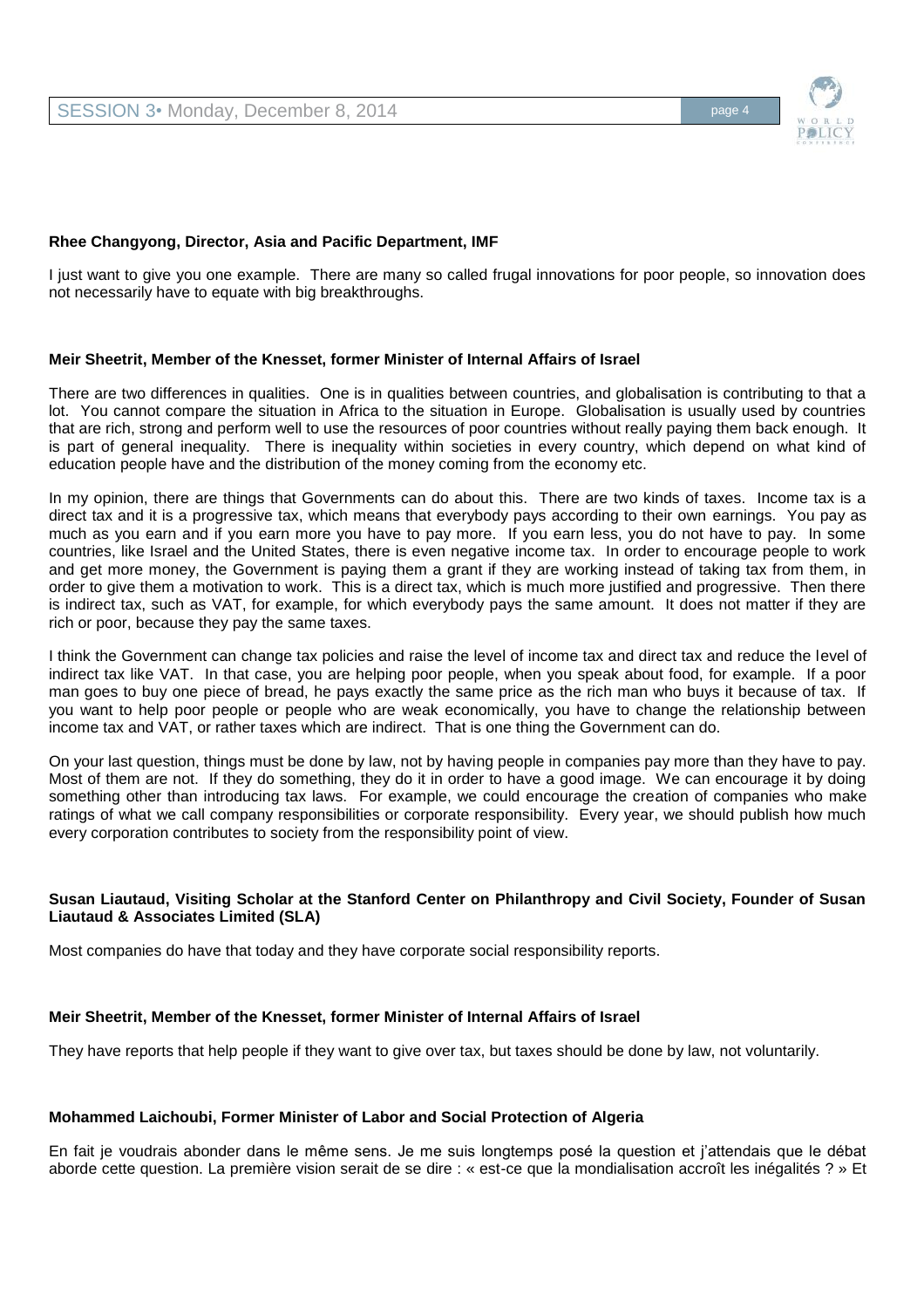

### **Rhee Changyong, Director, Asia and Pacific Department, IMF**

I just want to give you one example. There are many so called frugal innovations for poor people, so innovation does not necessarily have to equate with big breakthroughs.

## **Meir Sheetrit, Member of the Knesset, former Minister of Internal Affairs of Israel**

There are two differences in qualities. One is in qualities between countries, and globalisation is contributing to that a lot. You cannot compare the situation in Africa to the situation in Europe. Globalisation is usually used by countries that are rich, strong and perform well to use the resources of poor countries without really paying them back enough. It is part of general inequality. There is inequality within societies in every country, which depend on what kind of education people have and the distribution of the money coming from the economy etc.

In my opinion, there are things that Governments can do about this. There are two kinds of taxes. Income tax is a direct tax and it is a progressive tax, which means that everybody pays according to their own earnings. You pay as much as you earn and if you earn more you have to pay more. If you earn less, you do not have to pay. In some countries, like Israel and the United States, there is even negative income tax. In order to encourage people to work and get more money, the Government is paying them a grant if they are working instead of taking tax from them, in order to give them a motivation to work. This is a direct tax, which is much more justified and progressive. Then there is indirect tax, such as VAT, for example, for which everybody pays the same amount. It does not matter if they are rich or poor, because they pay the same taxes.

I think the Government can change tax policies and raise the level of income tax and direct tax and reduce the level of indirect tax like VAT. In that case, you are helping poor people, when you speak about food, for example. If a poor man goes to buy one piece of bread, he pays exactly the same price as the rich man who buys it because of tax. If you want to help poor people or people who are weak economically, you have to change the relationship between income tax and VAT, or rather taxes which are indirect. That is one thing the Government can do.

On your last question, things must be done by law, not by having people in companies pay more than they have to pay. Most of them are not. If they do something, they do it in order to have a good image. We can encourage it by doing something other than introducing tax laws. For example, we could encourage the creation of companies who make ratings of what we call company responsibilities or corporate responsibility. Every year, we should publish how much every corporation contributes to society from the responsibility point of view.

## **Susan Liautaud, Visiting Scholar at the Stanford Center on Philanthropy and Civil Society, Founder of Susan Liautaud & Associates Limited (SLA)**

Most companies do have that today and they have corporate social responsibility reports.

### **Meir Sheetrit, Member of the Knesset, former Minister of Internal Affairs of Israel**

They have reports that help people if they want to give over tax, but taxes should be done by law, not voluntarily.

### **Mohammed Laichoubi, Former Minister of Labor and Social Protection of Algeria**

En fait je voudrais abonder dans le même sens. Je me suis longtemps posé la question et j'attendais que le débat aborde cette question. La première vision serait de se dire : « est-ce que la mondialisation accroît les inégalités ? » Et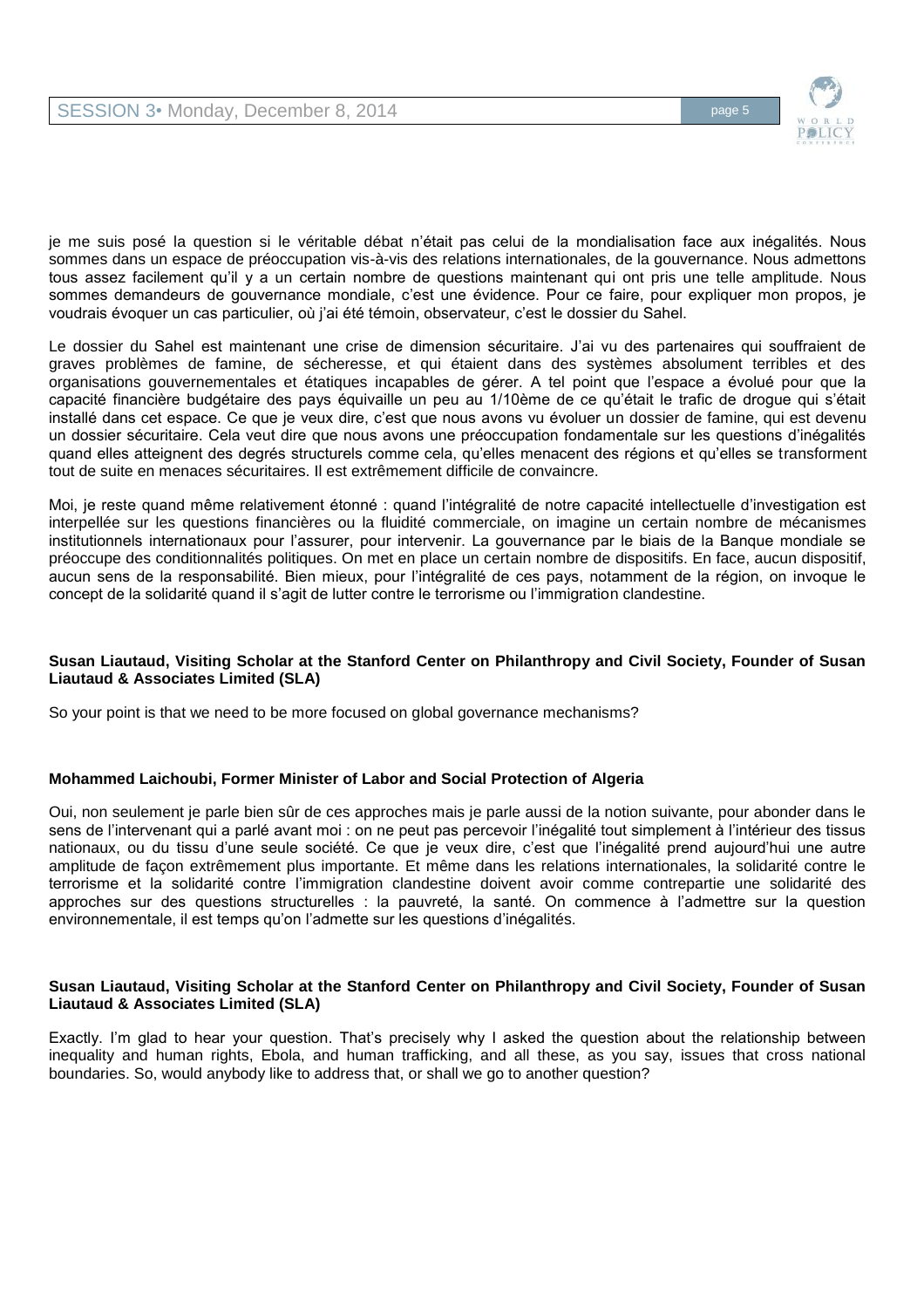

je me suis posé la question si le véritable débat n'était pas celui de la mondialisation face aux inégalités. Nous sommes dans un espace de préoccupation vis-à-vis des relations internationales, de la gouvernance. Nous admettons tous assez facilement qu'il y a un certain nombre de questions maintenant qui ont pris une telle amplitude. Nous sommes demandeurs de gouvernance mondiale, c'est une évidence. Pour ce faire, pour expliquer mon propos, je voudrais évoquer un cas particulier, où j'ai été témoin, observateur, c'est le dossier du Sahel.

Le dossier du Sahel est maintenant une crise de dimension sécuritaire. J'ai vu des partenaires qui souffraient de graves problèmes de famine, de sécheresse, et qui étaient dans des systèmes absolument terribles et des organisations gouvernementales et étatiques incapables de gérer. A tel point que l'espace a évolué pour que la capacité financière budgétaire des pays équivaille un peu au 1/10ème de ce qu'était le trafic de drogue qui s'était installé dans cet espace. Ce que je veux dire, c'est que nous avons vu évoluer un dossier de famine, qui est devenu un dossier sécuritaire. Cela veut dire que nous avons une préoccupation fondamentale sur les questions d'inégalités quand elles atteignent des degrés structurels comme cela, qu'elles menacent des régions et qu'elles se transforment tout de suite en menaces sécuritaires. Il est extrêmement difficile de convaincre.

Moi, je reste quand même relativement étonné : quand l'intégralité de notre capacité intellectuelle d'investigation est interpellée sur les questions financières ou la fluidité commerciale, on imagine un certain nombre de mécanismes institutionnels internationaux pour l'assurer, pour intervenir. La gouvernance par le biais de la Banque mondiale se préoccupe des conditionnalités politiques. On met en place un certain nombre de dispositifs. En face, aucun dispositif, aucun sens de la responsabilité. Bien mieux, pour l'intégralité de ces pays, notamment de la région, on invoque le concept de la solidarité quand il s'agit de lutter contre le terrorisme ou l'immigration clandestine.

## **Susan Liautaud, Visiting Scholar at the Stanford Center on Philanthropy and Civil Society, Founder of Susan Liautaud & Associates Limited (SLA)**

So your point is that we need to be more focused on global governance mechanisms?

### **Mohammed Laichoubi, Former Minister of Labor and Social Protection of Algeria**

Oui, non seulement je parle bien sûr de ces approches mais je parle aussi de la notion suivante, pour abonder dans le sens de l'intervenant qui a parlé avant moi : on ne peut pas percevoir l'inégalité tout simplement à l'intérieur des tissus nationaux, ou du tissu d'une seule société. Ce que je veux dire, c'est que l'inégalité prend aujourd'hui une autre amplitude de façon extrêmement plus importante. Et même dans les relations internationales, la solidarité contre le terrorisme et la solidarité contre l'immigration clandestine doivent avoir comme contrepartie une solidarité des approches sur des questions structurelles : la pauvreté, la santé. On commence à l'admettre sur la question environnementale, il est temps qu'on l'admette sur les questions d'inégalités.

### **Susan Liautaud, Visiting Scholar at the Stanford Center on Philanthropy and Civil Society, Founder of Susan Liautaud & Associates Limited (SLA)**

Exactly. I'm glad to hear your question. That's precisely why I asked the question about the relationship between inequality and human rights, Ebola, and human trafficking, and all these, as you say, issues that cross national boundaries. So, would anybody like to address that, or shall we go to another question?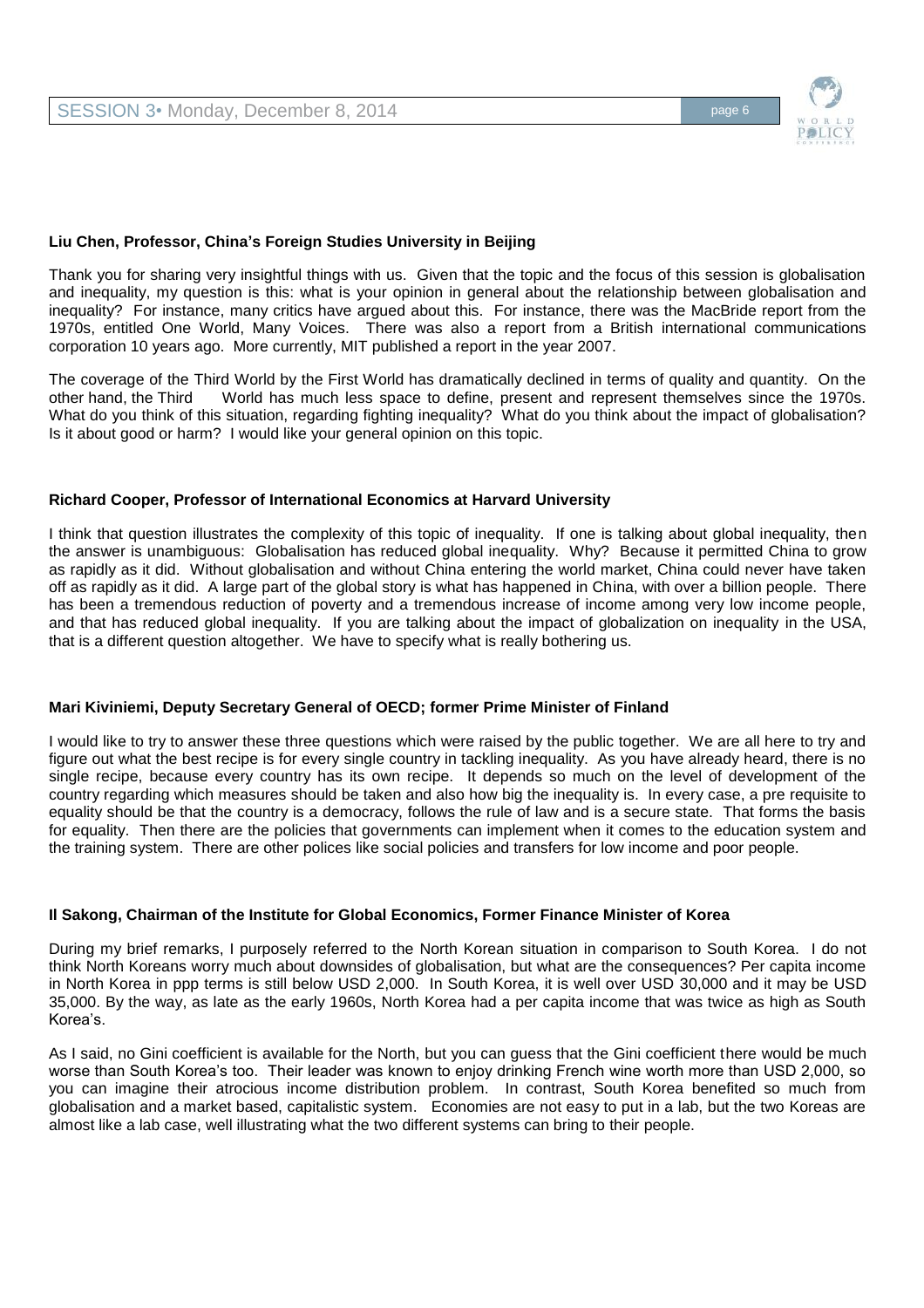

### **Liu Chen, Professor, China's Foreign Studies University in Beijing**

Thank you for sharing very insightful things with us. Given that the topic and the focus of this session is globalisation and inequality, my question is this: what is your opinion in general about the relationship between globalisation and inequality? For instance, many critics have argued about this. For instance, there was the MacBride report from the 1970s, entitled One World, Many Voices. There was also a report from a British international communications corporation 10 years ago. More currently, MIT published a report in the year 2007.

The coverage of the Third World by the First World has dramatically declined in terms of quality and quantity. On the other hand, the Third World has much less space to define, present and represent themselves since the 19 World has much less space to define, present and represent themselves since the 1970s. What do you think of this situation, regarding fighting inequality? What do you think about the impact of globalisation? Is it about good or harm? I would like your general opinion on this topic.

### **Richard Cooper, Professor of International Economics at Harvard University**

I think that question illustrates the complexity of this topic of inequality. If one is talking about global inequality, then the answer is unambiguous: Globalisation has reduced global inequality. Why? Because it permitted China to grow as rapidly as it did. Without globalisation and without China entering the world market, China could never have taken off as rapidly as it did. A large part of the global story is what has happened in China, with over a billion people. There has been a tremendous reduction of poverty and a tremendous increase of income among very low income people, and that has reduced global inequality. If you are talking about the impact of globalization on inequality in the USA, that is a different question altogether. We have to specify what is really bothering us.

### **Mari Kiviniemi, Deputy Secretary General of OECD; former Prime Minister of Finland**

I would like to try to answer these three questions which were raised by the public together. We are all here to try and figure out what the best recipe is for every single country in tackling inequality. As you have already heard, there is no single recipe, because every country has its own recipe. It depends so much on the level of development of the country regarding which measures should be taken and also how big the inequality is. In every case, a pre requisite to equality should be that the country is a democracy, follows the rule of law and is a secure state. That forms the basis for equality. Then there are the policies that governments can implement when it comes to the education system and the training system. There are other polices like social policies and transfers for low income and poor people.

### **Il Sakong, Chairman of the Institute for Global Economics, Former Finance Minister of Korea**

During my brief remarks, I purposely referred to the North Korean situation in comparison to South Korea. I do not think North Koreans worry much about downsides of globalisation, but what are the consequences? Per capita income in North Korea in ppp terms is still below USD 2,000. In South Korea, it is well over USD 30,000 and it may be USD 35,000. By the way, as late as the early 1960s, North Korea had a per capita income that was twice as high as South Korea's.

As I said, no Gini coefficient is available for the North, but you can guess that the Gini coefficient there would be much worse than South Korea's too. Their leader was known to enjoy drinking French wine worth more than USD 2,000, so you can imagine their atrocious income distribution problem. In contrast, South Korea benefited so much from globalisation and a market based, capitalistic system. Economies are not easy to put in a lab, but the two Koreas are almost like a lab case, well illustrating what the two different systems can bring to their people.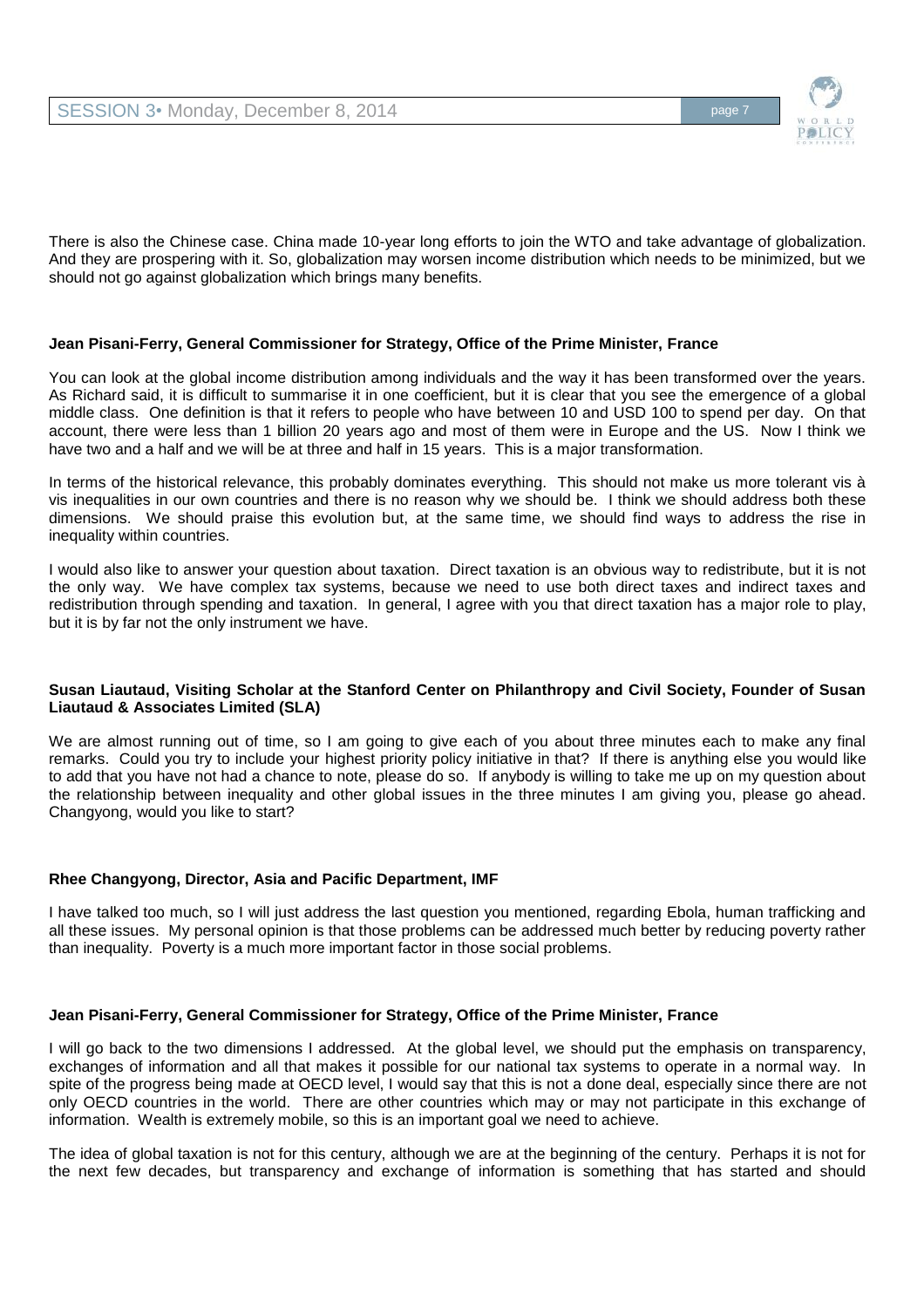

There is also the Chinese case. China made 10-year long efforts to join the WTO and take advantage of globalization. And they are prospering with it. So, globalization may worsen income distribution which needs to be minimized, but we should not go against globalization which brings many benefits.

## **Jean Pisani-Ferry, General Commissioner for Strategy, Office of the Prime Minister, France**

You can look at the global income distribution among individuals and the way it has been transformed over the years. As Richard said, it is difficult to summarise it in one coefficient, but it is clear that you see the emergence of a global middle class. One definition is that it refers to people who have between 10 and USD 100 to spend per day. On that account, there were less than 1 billion 20 years ago and most of them were in Europe and the US. Now I think we have two and a half and we will be at three and half in 15 years. This is a major transformation.

In terms of the historical relevance, this probably dominates everything. This should not make us more tolerant vis à vis inequalities in our own countries and there is no reason why we should be. I think we should address both these dimensions. We should praise this evolution but, at the same time, we should find ways to address the rise in inequality within countries.

I would also like to answer your question about taxation. Direct taxation is an obvious way to redistribute, but it is not the only way. We have complex tax systems, because we need to use both direct taxes and indirect taxes and redistribution through spending and taxation. In general, I agree with you that direct taxation has a major role to play, but it is by far not the only instrument we have.

### **Susan Liautaud, Visiting Scholar at the Stanford Center on Philanthropy and Civil Society, Founder of Susan Liautaud & Associates Limited (SLA)**

We are almost running out of time, so I am going to give each of you about three minutes each to make any final remarks. Could you try to include your highest priority policy initiative in that? If there is anything else you would like to add that you have not had a chance to note, please do so. If anybody is willing to take me up on my question about the relationship between inequality and other global issues in the three minutes I am giving you, please go ahead. Changyong, would you like to start?

# **Rhee Changyong, Director, Asia and Pacific Department, IMF**

I have talked too much, so I will just address the last question you mentioned, regarding Ebola, human trafficking and all these issues. My personal opinion is that those problems can be addressed much better by reducing poverty rather than inequality. Poverty is a much more important factor in those social problems.

### **Jean Pisani-Ferry, General Commissioner for Strategy, Office of the Prime Minister, France**

I will go back to the two dimensions I addressed. At the global level, we should put the emphasis on transparency, exchanges of information and all that makes it possible for our national tax systems to operate in a normal way. In spite of the progress being made at OECD level, I would say that this is not a done deal, especially since there are not only OECD countries in the world. There are other countries which may or may not participate in this exchange of information. Wealth is extremely mobile, so this is an important goal we need to achieve.

The idea of global taxation is not for this century, although we are at the beginning of the century. Perhaps it is not for the next few decades, but transparency and exchange of information is something that has started and should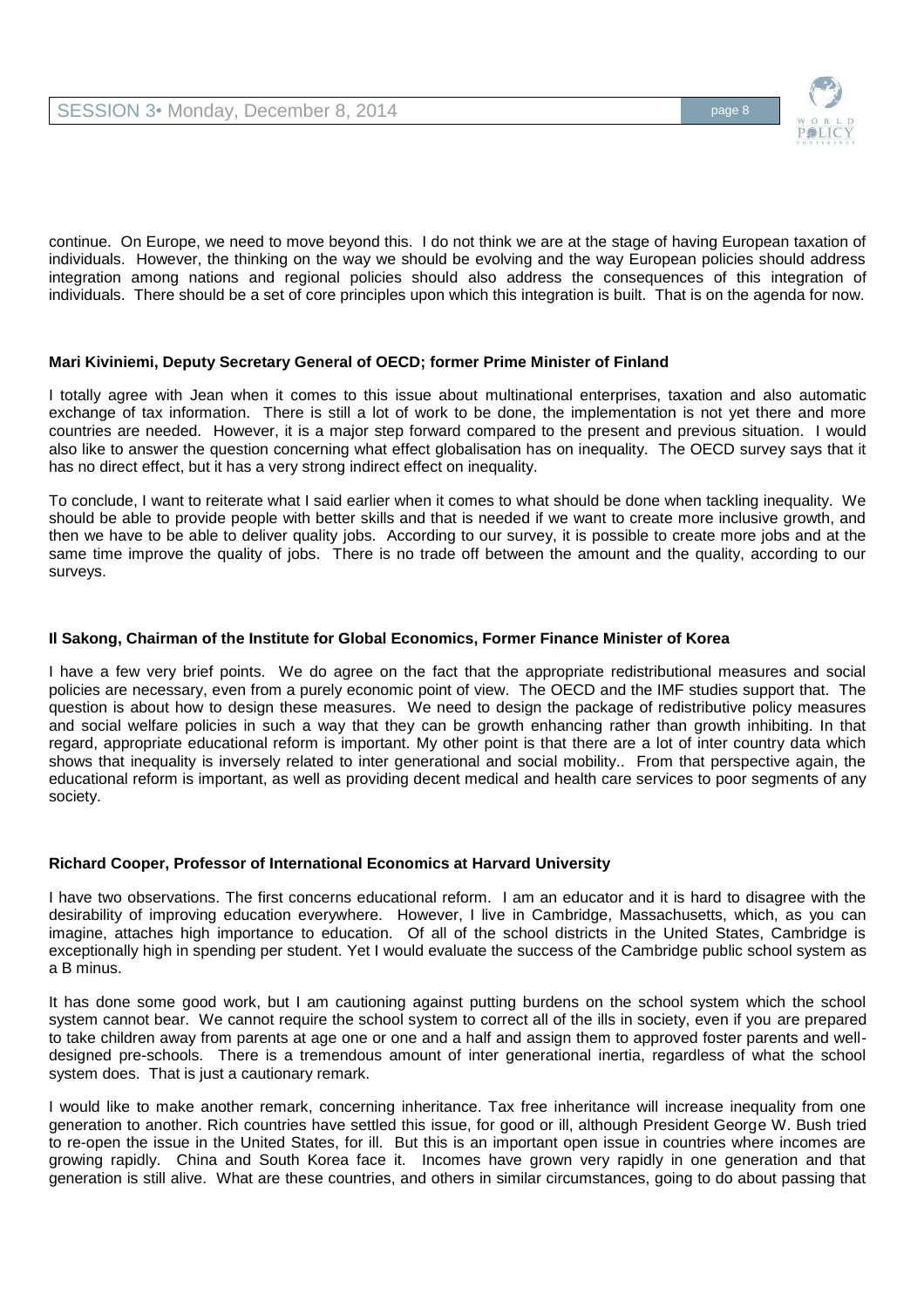

continue. On Europe, we need to move beyond this. I do not think we are at the stage of having European taxation of individuals. However, the thinking on the way we should be evolving and the way European policies should address integration among nations and regional policies should also address the consequences of this integration of individuals. There should be a set of core principles upon which this integration is built. That is on the agenda for now.

# **Mari Kiviniemi, Deputy Secretary General of OECD; former Prime Minister of Finland**

I totally agree with Jean when it comes to this issue about multinational enterprises, taxation and also automatic exchange of tax information. There is still a lot of work to be done, the implementation is not yet there and more countries are needed. However, it is a major step forward compared to the present and previous situation. I would also like to answer the question concerning what effect globalisation has on inequality. The OECD survey says that it has no direct effect, but it has a very strong indirect effect on inequality.

To conclude, I want to reiterate what I said earlier when it comes to what should be done when tackling inequality. We should be able to provide people with better skills and that is needed if we want to create more inclusive growth, and then we have to be able to deliver quality jobs. According to our survey, it is possible to create more jobs and at the same time improve the quality of jobs. There is no trade off between the amount and the quality, according to our surveys.

### **Il Sakong, Chairman of the Institute for Global Economics, Former Finance Minister of Korea**

I have a few very brief points. We do agree on the fact that the appropriate redistributional measures and social policies are necessary, even from a purely economic point of view. The OECD and the IMF studies support that. The question is about how to design these measures. We need to design the package of redistributive policy measures and social welfare policies in such a way that they can be growth enhancing rather than growth inhibiting. In that regard, appropriate educational reform is important. My other point is that there are a lot of inter country data which shows that inequality is inversely related to inter generational and social mobility.. From that perspective again, the educational reform is important, as well as providing decent medical and health care services to poor segments of any society.

### **Richard Cooper, Professor of International Economics at Harvard University**

I have two observations. The first concerns educational reform. I am an educator and it is hard to disagree with the desirability of improving education everywhere. However, I live in Cambridge, Massachusetts, which, as you can imagine, attaches high importance to education. Of all of the school districts in the United States, Cambridge is exceptionally high in spending per student. Yet I would evaluate the success of the Cambridge public school system as a B minus.

It has done some good work, but I am cautioning against putting burdens on the school system which the school system cannot bear. We cannot require the school system to correct all of the ills in society, even if you are prepared to take children away from parents at age one or one and a half and assign them to approved foster parents and welldesigned pre-schools. There is a tremendous amount of inter generational inertia, regardless of what the school system does. That is just a cautionary remark.

I would like to make another remark, concerning inheritance. Tax free inheritance will increase inequality from one generation to another. Rich countries have settled this issue, for good or ill, although President George W. Bush tried to re-open the issue in the United States, for ill. But this is an important open issue in countries where incomes are growing rapidly. China and South Korea face it. Incomes have grown very rapidly in one generation and that generation is still alive. What are these countries, and others in similar circumstances, going to do about passing that